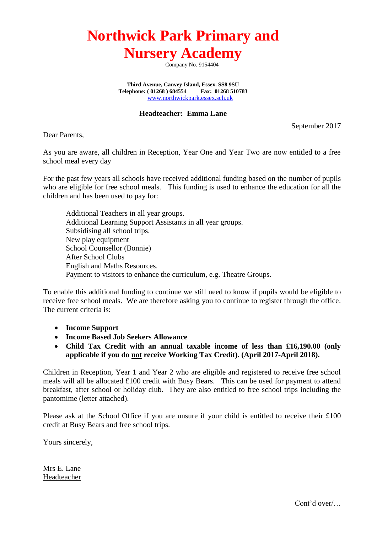## **Northwick Park Primary and Nursery Academy**

Company No. 9154404

**Third Avenue, Canvey Island, Essex. SS8 9SU Telephone: ( 01268 ) 684554 Fax: 01268 510783** [www.northwickpark.essex.sch.uk](http://www.northwickpark.essex.sch.uk/)

## **Headteacher: Emma Lane**

September 2017

Dear Parents,

As you are aware, all children in Reception, Year One and Year Two are now entitled to a free school meal every day

For the past few years all schools have received additional funding based on the number of pupils who are eligible for free school meals. This funding is used to enhance the education for all the children and has been used to pay for:

Additional Teachers in all year groups. Additional Learning Support Assistants in all year groups. Subsidising all school trips. New play equipment School Counsellor (Bonnie) After School Clubs English and Maths Resources. Payment to visitors to enhance the curriculum, e.g. Theatre Groups.

To enable this additional funding to continue we still need to know if pupils would be eligible to receive free school meals. We are therefore asking you to continue to register through the office. The current criteria is:

- **Income Support**
- **Income Based Job Seekers Allowance**
- **Child Tax Credit with an annual taxable income of less than £16,190.00 (only applicable if you do not receive Working Tax Credit). (April 2017-April 2018).**

Children in Reception, Year 1 and Year 2 who are eligible and registered to receive free school meals will all be allocated £100 credit with Busy Bears. This can be used for payment to attend breakfast, after school or holiday club. They are also entitled to free school trips including the pantomime (letter attached).

Please ask at the School Office if you are unsure if your child is entitled to receive their £100 credit at Busy Bears and free school trips.

Yours sincerely,

Mrs E. Lane Headteacher